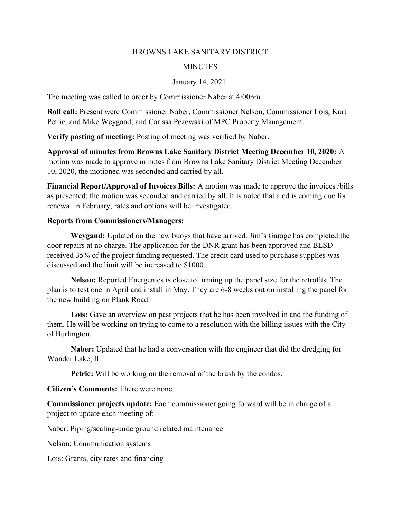## BROWNS LAKE SANITARY DISTRICT

## **MINUTES**

## January 14, 2021.

The meeting was called to order by Commissioner Naber at 4:00pm.

Roll call: Present were Commissioner Naber, Commissioner Nelson, Commissioner Lois, Kurt Petrie, and Mike Weygand; and Carissa Pezewski of MPC Property Management.

Verify posting of meeting: Posting of meeting was verified by Naber.

Approval of minutes from Browns Lake Sanitary District Meeting December 10, 2020: A motion was made to approve minutes from Browns Lake Sanitary District Meeting December 10, 2020, the motioned was seconded and carried by all.

Financial Report/Approval of Invoices Bills: A motion was made to approve the invoices /bills as presented; the motion was seconded and carried by all. It is noted that a cd is coming due for renewal in February, rates and options will be investigated.

## Reports from Commissioners/Managers:

Weygand: Updated on the new buoys that have arrived. Jim's Garage has completed the door repairs at no charge. The application for the DNR grant has been approved and BLSD received 35% of the project funding requested. The credit card used to purchase supplies was discussed and the limit will be increased to \$1000.

Nelson: Reported Energenics is close to firming up the panel size for the retrofits. The plan is to test one in April and install in May. They are 6-8 weeks out on installing the panel for the new building on Plank Road.

Lois: Gave an overview on past projects that he has been involved in and the funding of them. He will be working on trying to come to a resolution with the billing issues with the City of Burlington.

Naber: Updated that he had a conversation with the engineer that did the dredging for Wonder Lake, IL.

Petrie: Will be working on the removal of the brush by the condos.

Citizen's Comments: There were none.

Commissioner projects update: Each commissioner going forward will be in charge of a project to update each meeting of:

Naber: Piping/sealing-underground related maintenance

Nelson: Communication systems

Lois: Grants, city rates and financing